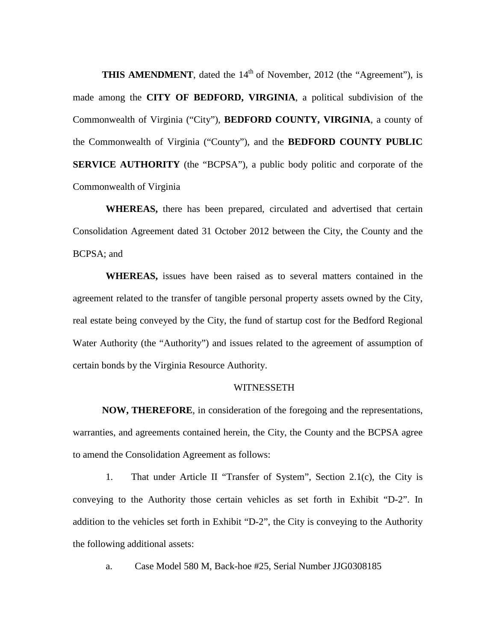**THIS AMENDMENT**, dated the  $14<sup>th</sup>$  of November, 2012 (the "Agreement"), is made among the **CITY OF BEDFORD, VIRGINIA**, a political subdivision of the Commonwealth of Virginia ("City"), **BEDFORD COUNTY, VIRGINIA**, a county of the Commonwealth of Virginia ("County"), and the **BEDFORD COUNTY PUBLIC SERVICE AUTHORITY** (the "BCPSA"), a public body politic and corporate of the Commonwealth of Virginia

**WHEREAS,** there has been prepared, circulated and advertised that certain Consolidation Agreement dated 31 October 2012 between the City, the County and the BCPSA; and

**WHEREAS,** issues have been raised as to several matters contained in the agreement related to the transfer of tangible personal property assets owned by the City, real estate being conveyed by the City, the fund of startup cost for the Bedford Regional Water Authority (the "Authority") and issues related to the agreement of assumption of certain bonds by the Virginia Resource Authority.

## **WITNESSETH**

**NOW, THEREFORE**, in consideration of the foregoing and the representations, warranties, and agreements contained herein, the City, the County and the BCPSA agree to amend the Consolidation Agreement as follows:

1. That under Article II "Transfer of System", Section 2.1(c), the City is conveying to the Authority those certain vehicles as set forth in Exhibit "D-2". In addition to the vehicles set forth in Exhibit "D-2", the City is conveying to the Authority the following additional assets:

a. Case Model 580 M, Back-hoe #25, Serial Number JJG0308185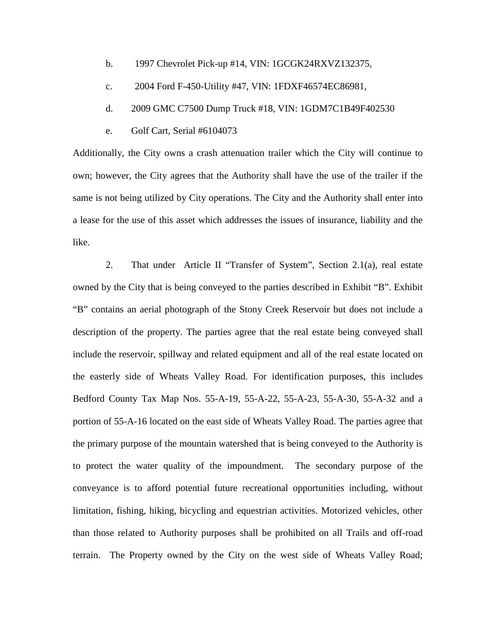- b. 1997 Chevrolet Pick-up #14, VIN: 1GCGK24RXVZ132375,
- c. 2004 Ford F-450-Utility #47, VIN: 1FDXF46574EC86981,
- d. 2009 GMC C7500 Dump Truck #18, VIN: 1GDM7C1B49F402530
- e. Golf Cart, Serial #6104073

Additionally, the City owns a crash attenuation trailer which the City will continue to own; however, the City agrees that the Authority shall have the use of the trailer if the same is not being utilized by City operations. The City and the Authority shall enter into a lease for the use of this asset which addresses the issues of insurance, liability and the like.

2. That under Article II "Transfer of System", Section 2.1(a), real estate owned by the City that is being conveyed to the parties described in Exhibit "B". Exhibit "B" contains an aerial photograph of the Stony Creek Reservoir but does not include a description of the property. The parties agree that the real estate being conveyed shall include the reservoir, spillway and related equipment and all of the real estate located on the easterly side of Wheats Valley Road. For identification purposes, this includes Bedford County Tax Map Nos. 55-A-19, 55-A-22, 55-A-23, 55-A-30, 55-A-32 and a portion of 55-A-16 located on the east side of Wheats Valley Road. The parties agree that the primary purpose of the mountain watershed that is being conveyed to the Authority is to protect the water quality of the impoundment. The secondary purpose of the conveyance is to afford potential future recreational opportunities including, without limitation, fishing, hiking, bicycling and equestrian activities. Motorized vehicles, other than those related to Authority purposes shall be prohibited on all Trails and off-road terrain. The Property owned by the City on the west side of Wheats Valley Road;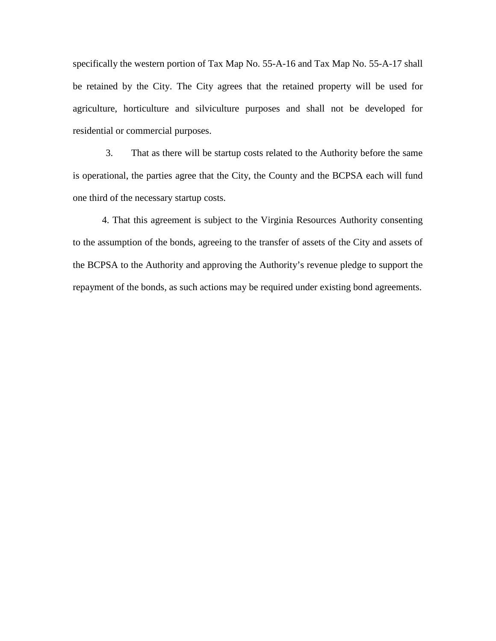specifically the western portion of Tax Map No. 55-A-16 and Tax Map No. 55-A-17 shall be retained by the City. The City agrees that the retained property will be used for agriculture, horticulture and silviculture purposes and shall not be developed for residential or commercial purposes.

3. That as there will be startup costs related to the Authority before the same is operational, the parties agree that the City, the County and the BCPSA each will fund one third of the necessary startup costs.

4. That this agreement is subject to the Virginia Resources Authority consenting to the assumption of the bonds, agreeing to the transfer of assets of the City and assets of the BCPSA to the Authority and approving the Authority's revenue pledge to support the repayment of the bonds, as such actions may be required under existing bond agreements.